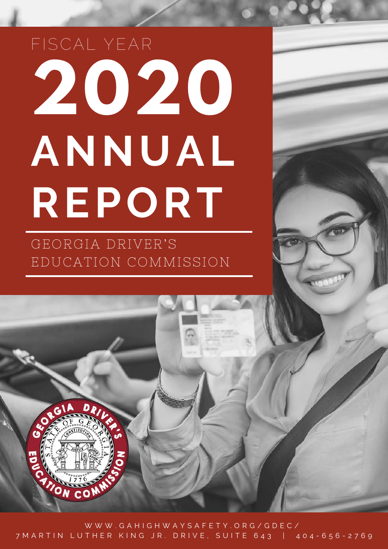# **2020 ANNUA L REPORT** FISCAL YEAR

GEORGIA DRIVER'S EDUCATION COMMISSION

ON CO

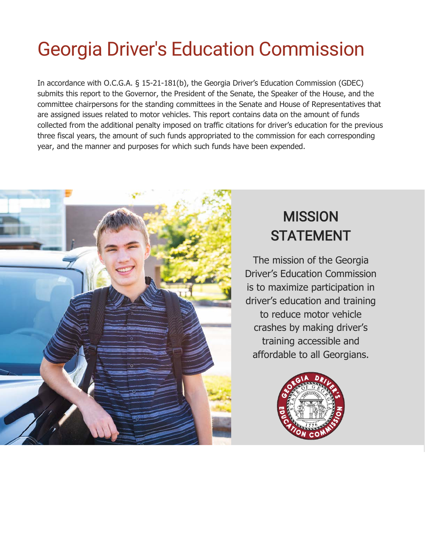### Georgia Driver's Education Commission

In accordance with O.C.G.A. § 15-21-181(b), the Georgia Driver's Education Commission (GDEC) submits this report to the Governor, the President of the Senate, the Speaker of the House, and the committee chairpersons for the standing committees in the Senate and House of Representatives that are assigned issues related to motor vehicles. This report contains data on the amount of funds collected from the additional penalty imposed on traffic citations for driver's education for the previous three fiscal years, the amount of such funds appropriated to the commission for each corresponding year, and the manner and purposes for which such funds have been expended.



### **MISSION STATEMENT**

The mission of the Georgia Driver's Education Commission is to maximize participation in driver's education and training to reduce motor vehicle crashes by making driver's training accessible and affordable to all Georgians.

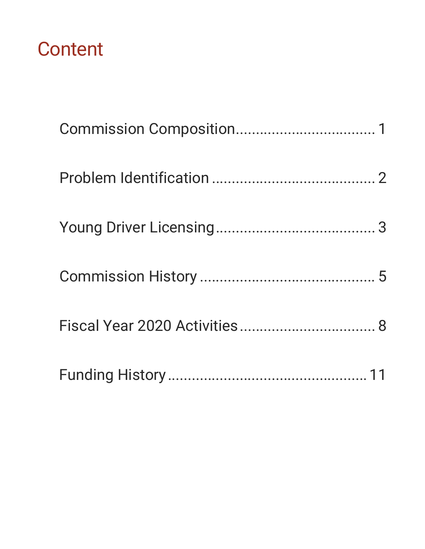### **Content**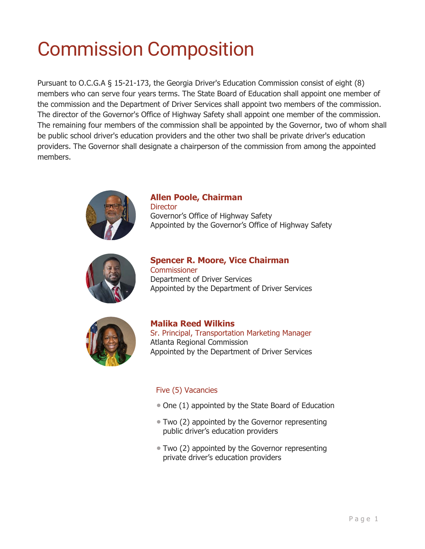### <span id="page-3-0"></span>Commission Composition

Pursuant to O.C.G.A § 15-21-173, the Georgia Driver's Education Commission consist of eight (8) members who can serve four years terms. The State Board of Education shall appoint one member of the commission and the Department of Driver Services shall appoint two members of the commission. The director of the Governor's Office of Highway Safety shall appoint one member of the commission. The remaining four members of the commission shall be appointed by the Governor, two of whom shall be public school driver's education providers and the other two shall be private driver's education providers. The Governor shall designate a chairperson of the commission from among the appointed members.



#### **Allen Poole, Chairman**

**Director** Governor's Office of Highway Safety Appointed by the Governor's Office of Highway Safety



**Spencer R. Moore, Vice Chairman Commissioner** Department of Driver Services Appointed by the Department of Driver Services



**Malika Reed Wilkins** Sr. Principal, Transportation Marketing Manager Atlanta Regional Commission Appointed by the Department of Driver Services

#### Five (5) Vacancies

- One (1) appointed by the State Board of Education
- Two (2) appointed by the Governor representing public driver's education providers
- Two (2) appointed by the Governor representing private driver's education providers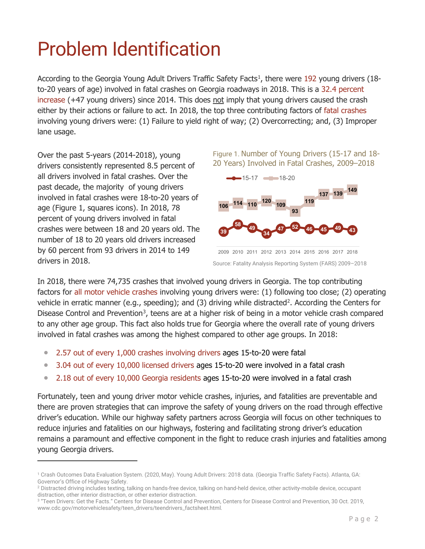### <span id="page-4-0"></span>Problem Identification

According to the Georgia Young Adult Drivers Traffic Safety Facts<sup>[1](#page-4-2)</sup>, there were 192 young drivers (18to-20 years of age) involved in fatal crashes on Georgia roadways in 2018. This is a 32.4 percent increase (+47 young drivers) since 2014. This does not imply that young drivers caused the crash either by their actions or failure to act. In 2018, the top three contributing factors of fatal crashes involving young drivers were: (1) Failure to yield right of way; (2) Overcorrecting; and, (3) Improper lane usage.

Over the past 5-years (2014-2018), young drivers consistently represented 8.5 percent of all drivers involved in fatal crashes. Over the past decade, the majority of young drivers involved in fatal crashes were 18-to-20 years of age (Figure 1, squares icons). In 2018, 78 percent of young drivers involved in fatal crashes were between 18 and 20 years old. The number of 18 to 20 years old drivers increased by 60 percent from 93 drivers in 2014 to 149 drivers in 2018.

Figure 1. Number of Young Drivers (15-17 and 18- 20 Years) Involved in Fatal Crashes, 2009–2018



Source: Fatality Analysis Reporting System (FARS) 2009–2018 2009 2010 2011 2012 2013 2014 2015 2016 2017 2018

In 2018, there were 74,735 crashes that involved young drivers in Georgia. The top contributing factors for all motor vehicle crashes involving young drivers were: (1) following too close; (2) operating vehicle in erratic manner (e.g., speeding); and (3) driving while distracted<sup>[2](#page-4-3)</sup>. According the Centers for Disease Control and Prevention<sup>[3](#page-4-4)</sup>, teens are at a higher risk of being in a motor vehicle crash compared to any other age group. This fact also holds true for Georgia where the overall rate of young drivers involved in fatal crashes was among the highest compared to other age groups. In 2018:

- 2.57 out of every 1,000 crashes involving drivers ages 15-to-20 were fatal
- 3.04 out of every 10,000 licensed drivers ages 15-to-20 were involved in a fatal crash
- 2.18 out of every 10,000 Georgia residents ages 15-to-20 were involved in a fatal crash

Fortunately, teen and young driver motor vehicle crashes, injuries, and fatalities are preventable and there are proven strategies that can improve the safety of young drivers on the road through effective driver's education. While our highway safety partners across Georgia will focus on other techniques to reduce injuries and fatalities on our highways, fostering and facilitating strong driver's education remains a paramount and effective component in the fight to reduce crash injuries and fatalities among young Georgia drivers.

<span id="page-4-2"></span><span id="page-4-1"></span><sup>1</sup> Crash Outcomes Data Evaluation System. (2020, May). Young Adult Drivers: 2018 data. (Georgia Traffic Safety Facts). Atlanta, GA: Governor's Office of Highway Safety.

<span id="page-4-3"></span><sup>&</sup>lt;sup>2</sup> Distracted driving includes texting, talking on hands-free device, talking on hand-held device, other activity-mobile device, occupant distraction, other interior distraction, or other exterior distraction.

<span id="page-4-4"></span><sup>&</sup>lt;sup>3</sup> "Teen Drivers: Get the Facts." Centers for Disease Control and Prevention, Centers for Disease Control and Prevention, 30 Oct. 2019, www.cdc.gov/motorvehiclesafety/teen\_drivers/teendrivers\_factsheet.html.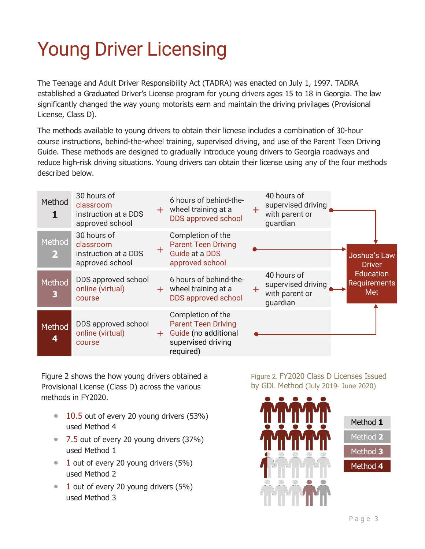## Young Driver Licensing

The Teenage and Adult Driver Responsibility Act (TADRA) was enacted on July 1, 1997. TADRA established a Graduated Driver's License program for young drivers ages 15 to 18 in Georgia. The law significantly changed the way young motorists earn and maintain the driving privilages (Provisional License, Class D).

The methods available to young drivers to obtain their licnese includes a combination of 30-hour course instructions, behind-the-wheel training, supervised driving, and use of the Parent Teen Driving Guide. These methods are designed to gradually introduce young drivers to Georgia roadways and reduce high-risk driving situations. Young drivers can obtain their license using any of the four methods described below.

| Method                   | 30 hours of<br>classroom<br>instruction at a DDS<br>approved school | $+$ . | 6 hours of behind-the-<br>wheel training at a<br><b>DDS</b> approved school                                | $+$ | 40 hours of<br>supervised driving<br>with parent or<br>guardian |                                                |
|--------------------------|---------------------------------------------------------------------|-------|------------------------------------------------------------------------------------------------------------|-----|-----------------------------------------------------------------|------------------------------------------------|
| Method<br>$\overline{2}$ | 30 hours of<br>classroom<br>instruction at a DDS<br>approved school | $+$   | Completion of the<br><b>Parent Teen Driving</b><br>Guide at a DDS<br>approved school                       |     |                                                                 | Joshua's Law<br><b>Driver</b>                  |
| Method<br>3              | DDS approved school<br>online (virtual)<br>course                   |       | 6 hours of behind-the-<br>$+$ wheel training at a<br>DDS approved school                                   |     | 40 hours of<br>supervised driving<br>with parent or<br>guardian | <b>Education</b><br><b>Requirements</b><br>Met |
| Method<br>4              | DDS approved school<br>online (virtual)<br>course                   | $+$   | Completion of the<br><b>Parent Teen Driving</b><br>Guide (no additional<br>supervised driving<br>required) |     |                                                                 |                                                |

Figure 2 shows the how young drivers obtained a Provisional License (Class D) across the various methods in FY2020.

- $\bullet$  10.5 out of every 20 young drivers (53%) used Method 4
- 7.5 out of every 20 young drivers (37%) used Method 1
- $\bullet$  1 out of every 20 young drivers (5%) used Method 2
- $\bullet$  1 out of every 20 young drivers (5%) used Method 3

Figure 2. FY2020 Class D Licenses Issued by GDL Method (July 2019- June 2020)



| Method $\bm{1}$ |
|-----------------|
| Method 2        |
| Method 3        |
| Method 4        |
|                 |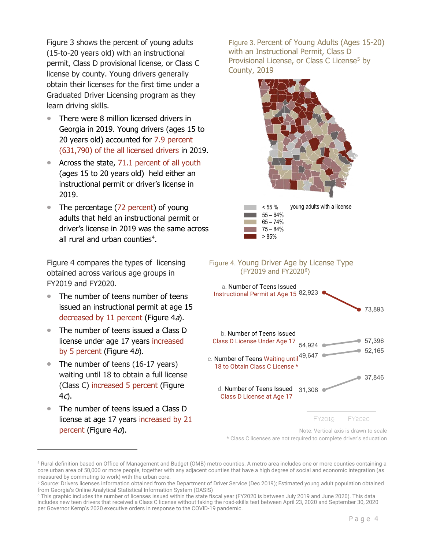Figure 3 shows the percent of young adults (15-to-20 years old) with an instructional permit, Class D provisional license, or Class C license by county. Young drivers generally obtain their licenses for the first time under a Graduated Driver Licensing program as they learn driving skills.

- There were 8 million licensed drivers in Georgia in 2019. Young drivers (ages 15 to 20 years old) accounted for 7.9 percent (631,790) of the all licensed drivers in 2019.
- Across the state, 71.1 percent of all youth (ages 15 to 20 years old) held either an instructional permit or driver's license in 2019.
- The percentage (72 percent) of young adults that held an instructional permit or driver's license in 2019 was the same across all rural and urban counties<sup>[4](#page-6-0)</sup>.

Figure 4 compares the types of licensing obtained across various age groups in FY2019 and FY2020.

- The number of teens number of teens issued an instructional permit at age 15 decreased by 11 percent (Figure  $4a$ ).
- The number of teens issued a Class D license under age 17 years increased by 5 percent (Figure  $4b$ ).
- The number of teens (16-17 years) waiting until 18 to obtain a full license (Class C) increased 5 percent (Figure  $4c$ ).
- The number of teens issued a Class D license at age 17 years increased by 21 percent (Figure  $4d$ ).

Figure 3. Percent of Young Adults (Ages 15-20) with an Instructional Permit, Class D Provisional License, or Class C License<sup>[5](#page-6-1)</sup> by County, 2019





Note: Vertical axis is drawn to scale

\* Class C licenses are not required to complete driver's education

<span id="page-6-0"></span><sup>4</sup> Rural definition based on Office of Management and Budget (OMB) metro counties. A metro area includes one or more counties containing a core urban area of 50,000 or more people, together with any adjacent counties that have a high degree of social and economic integration (as measured by commuting to work) with the urban core.

<span id="page-6-1"></span><sup>&</sup>lt;sup>5</sup> Source: Drivers licenses information obtained from the Department of Driver Service (Dec 2019); Estimated young adult population obtained from Georgia's Online Analytical Statistical Information System (OASIS)

<span id="page-6-2"></span><sup>6</sup> This graphic includes the number of licenses issued within the state fiscal year (FY2020 is between July 2019 and June 2020). This data includes new teen drivers that received a Class C license without taking the road-skills test between April 23, 2020 and September 30, 2020 per Governor Kemp's 2020 executive orders in response to the COVID-19 pandemic.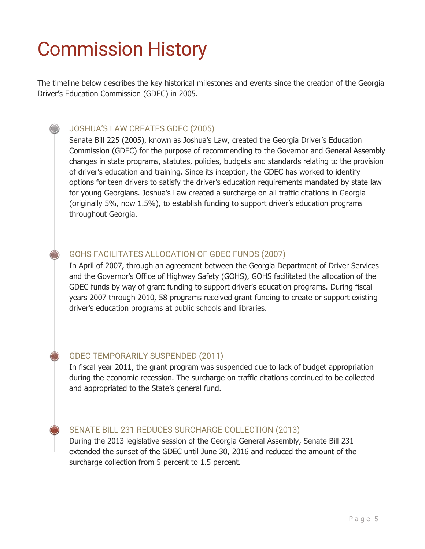### <span id="page-7-0"></span>Commission History

The timeline below describes the key historical milestones and events since the creation of the Georgia Driver's Education Commission (GDEC) in 2005.

#### JOSHUA'S LAW CREATES GDEC (2005)

Senate Bill 225 (2005), known as Joshua's Law, created the Georgia Driver's Education Commission (GDEC) for the purpose of recommending to the Governor and General Assembly changes in state programs, statutes, policies, budgets and standards relating to the provision of driver's education and training. Since its inception, the GDEC has worked to identify options for teen drivers to satisfy the driver's education requirements mandated by state law for young Georgians. Joshua's Law created a surcharge on all traffic citations in Georgia (originally 5%, now 1.5%), to establish funding to support driver's education programs throughout Georgia.

#### GOHS FACILITATES ALLOCATION OF GDEC FUNDS (2007)

In April of 2007, through an agreement between the Georgia Department of Driver Services and the Governor's Office of Highway Safety (GOHS), GOHS facilitated the allocation of the GDEC funds by way of grant funding to support driver's education programs. During fiscal years 2007 through 2010, 58 programs received grant funding to create or support existing driver's education programs at public schools and libraries.

#### GDEC TEMPORARILY SUSPENDED (2011)

In fiscal year 2011, the grant program was suspended due to lack of budget appropriation during the economic recession. The surcharge on traffic citations continued to be collected and appropriated to the State's general fund.

#### SENATE BILL 231 REDUCES SURCHARGE COLLECTION (2013)

During the 2013 legislative session of the Georgia General Assembly, Senate Bill 231 extended the sunset of the GDEC until June 30, 2016 and reduced the amount of the surcharge collection from 5 percent to 1.5 percent.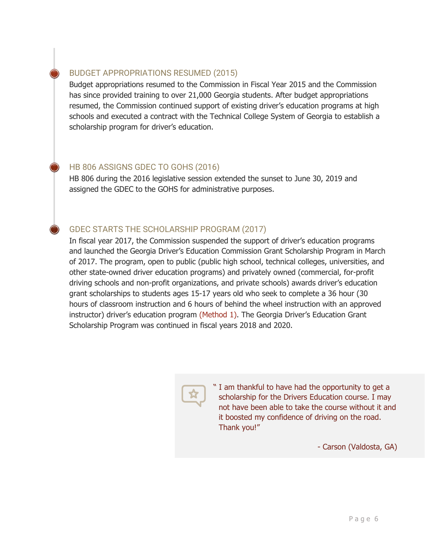BUDGET APPROPRIATIONS RESUMED (2015)

Budget appropriations resumed to the Commission in Fiscal Year 2015 and the Commission has since provided training to over 21,000 Georgia students. After budget appropriations resumed, the Commission continued support of existing driver's education programs at high schools and executed a contract with the Technical College System of Georgia to establish a scholarship program for driver's education.

#### HB 806 ASSIGNS GDEC TO GOHS (2016)

HB 806 during the 2016 legislative session extended the sunset to June 30, 2019 and assigned the GDEC to the GOHS for administrative purposes.

#### GDEC STARTS THE SCHOLARSHIP PROGRAM (2017)

In fiscal year 2017, the Commission suspended the support of driver's education programs and launched the Georgia Driver's Education Commission Grant Scholarship Program in March of 2017. The program, open to public (public high school, technical colleges, universities, and other state-owned driver education programs) and privately owned (commercial, for-profit driving schools and non-profit organizations, and private schools) awards driver's education grant scholarships to students ages 15-17 years old who seek to complete a 36 hour (30 hours of classroom instruction and 6 hours of behind the wheel instruction with an approved instructor) driver's education program (Method 1). The Georgia Driver's Education Grant Scholarship Program was continued in fiscal years 2018 and 2020.



" I am thankful to have had the opportunity to get a scholarship for the Drivers Education course. I may not have been able to take the course without it and it boosted my confidence of driving on the road. Thank you!"

- Carson (Valdosta, GA)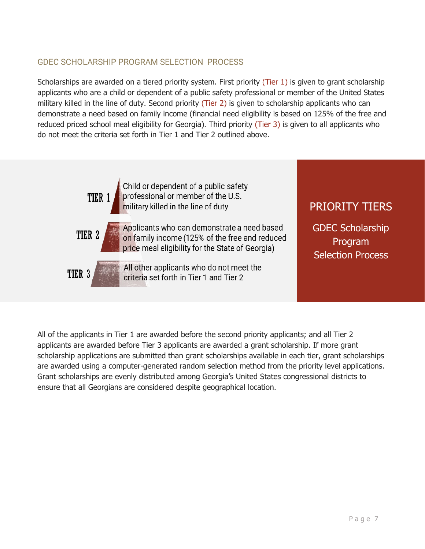#### GDEC SCHOLARSHIP PROGRAM SELECTION PROCESS

Scholarships are awarded on a tiered priority system. First priority (Tier 1) is given to grant scholarship applicants who are a child or dependent of a public safety professional or member of the United States military killed in the line of duty. Second priority (Tier 2) is given to scholarship applicants who can demonstrate a need based on family income (financial need eligibility is based on 125% of the free and reduced priced school meal eligibility for Georgia). Third priority (Tier 3) is given to all applicants who do not meet the criteria set forth in Tier 1 and Tier 2 outlined above.

> Child or dependent of a public safety professional or member of the U.S. TIER 1 military killed in the line of duty

TIER<sub>2</sub>

TIER<sub>3</sub>

Applicants who can demonstrate a need based on family income (125% of the free and reduced price meal eligibility for the State of Georgia)

All other applicants who do not meet the criteria set forth in Tier 1 and Tier 2

#### PRIORITY TIERS

GDEC Scholarship Program Selection Process

<span id="page-9-0"></span>All of the applicants in Tier 1 are awarded before the second priority applicants; and all Tier 2 applicants are awarded before Tier 3 applicants are awarded a grant scholarship. If more grant scholarship applications are submitted than grant scholarships available in each tier, grant scholarships are awarded using a computer-generated random selection method from the priority level applications. Grant scholarships are evenly distributed among Georgia's United States congressional districts to ensure that all Georgians are considered despite geographical location.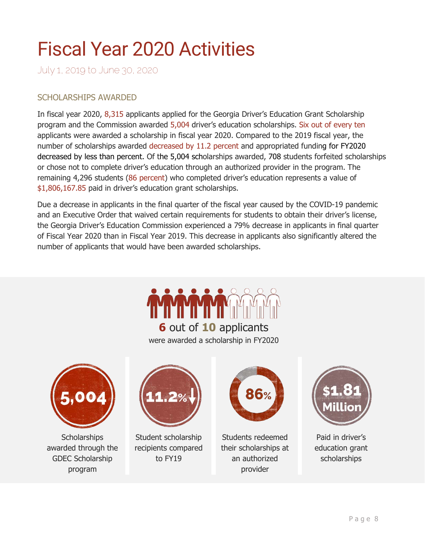### Fiscal Year 2020 Activities

July 1, 2019 to June 30, 2020

#### SCHOLARSHIPS AWARDED

In fiscal year 2020, 8,315 applicants applied for the Georgia Driver's Education Grant Scholarship program and the Commission awarded 5,004 driver's education scholarships. Six out of every ten applicants were awarded a scholarship in fiscal year 2020. Compared to the 2019 fiscal year, the number of scholarships awarded decreased by 11.2 percent and appropriated funding for FY2020 decreased by less than percent. Of the 5,004 scholarships awarded, 708 students forfeited scholarships or chose not to complete driver's education through an authorized provider in the program. The remaining 4,296 students (86 percent) who completed driver's education represents a value of \$1,806,167.85 paid in driver's education grant scholarships.

Due a decrease in applicants in the final quarter of the fiscal year caused by the COVID-19 pandemic and an Executive Order that waived certain requirements for students to obtain their driver's license, the Georgia Driver's Education Commission experienced a 79% decrease in applicants in final quarter of Fiscal Year 2020 than in Fiscal Year 2019. This decrease in applicants also significantly altered the number of applicants that would have been awarded scholarships.

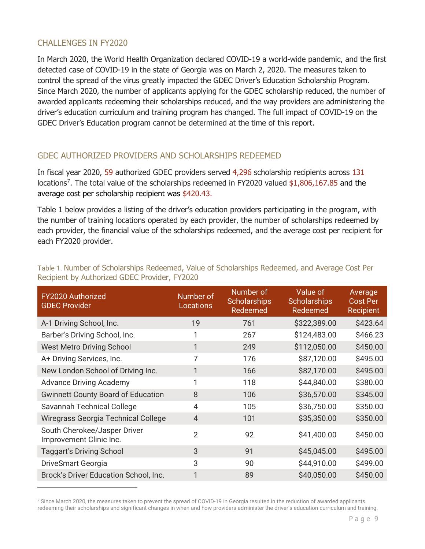#### CHALLENGES IN FY2020

In March 2020, the World Health Organization declared COVID-19 a world-wide pandemic, and the first detected case of COVID-19 in the state of Georgia was on March 2, 2020. The measures taken to control the spread of the virus greatly impacted the GDEC Driver's Education Scholarship Program. Since March 2020, the number of applicants applying for the GDEC scholarship reduced, the number of awarded applicants redeeming their scholarships reduced, and the way providers are administering the driver's education curriculum and training program has changed. The full impact of COVID-19 on the GDEC Driver's Education program cannot be determined at the time of this report.

#### GDEC AUTHORIZED PROVIDERS AND SCHOLARSHIPS REDEEMED

In fiscal year 2020, 59 authorized GDEC providers served 4,296 scholarship recipients across 131 locations<sup>[7](#page-11-0)</sup>. The total value of the scholarships redeemed in FY2020 valued \$1,806,167.85 and the average cost per scholarship recipient was \$420.43.

Table 1 below provides a listing of the driver's education providers participating in the program, with the number of training locations operated by each provider, the number of scholarships redeemed by each provider, the financial value of the scholarships redeemed, and the average cost per recipient for each FY2020 provider.

| FY2020 Authorized<br><b>GDEC Provider</b>               | Number of<br><b>Locations</b> | Number of<br><b>Scholarships</b><br>Redeemed | Value of<br><b>Scholarships</b><br>Redeemed | Average<br><b>Cost Per</b><br>Recipient |
|---------------------------------------------------------|-------------------------------|----------------------------------------------|---------------------------------------------|-----------------------------------------|
| A-1 Driving School, Inc.                                | 19                            | 761                                          | \$322,389.00                                | \$423.64                                |
| Barber's Driving School, Inc.                           | 1                             | 267                                          | \$124,483.00                                | \$466.23                                |
| <b>West Metro Driving School</b>                        | $\mathbf{1}$                  | 249                                          | \$112,050.00                                | \$450.00                                |
| A+ Driving Services, Inc.                               | 7                             | 176                                          | \$87,120.00                                 | \$495.00                                |
| New London School of Driving Inc.                       | 1                             | 166                                          | \$82,170.00                                 | \$495.00                                |
| <b>Advance Driving Academy</b>                          | 1                             | 118                                          | \$44,840.00                                 | \$380.00                                |
| <b>Gwinnett County Board of Education</b>               | 8                             | 106                                          | \$36,570.00                                 | \$345.00                                |
| Savannah Technical College                              | 4                             | 105                                          | \$36,750.00                                 | \$350.00                                |
| Wiregrass Georgia Technical College                     | $\overline{4}$                | 101                                          | \$35,350.00                                 | \$350.00                                |
| South Cherokee/Jasper Driver<br>Improvement Clinic Inc. | $\overline{2}$                | 92                                           | \$41,400.00                                 | \$450.00                                |
| <b>Taggart's Driving School</b>                         | 3                             | 91                                           | \$45,045.00                                 | \$495.00                                |
| DriveSmart Georgia                                      | 3                             | 90                                           | \$44,910.00                                 | \$499.00                                |
| Brock's Driver Education School, Inc.                   | 1                             | 89                                           | \$40,050.00                                 | \$450.00                                |

Table 1. Number of Scholarships Redeemed, Value of Scholarships Redeemed, and Average Cost Per Recipient by Authorized GDEC Provider, FY2020

<span id="page-11-0"></span><sup>&</sup>lt;sup>7</sup> Since March 2020, the measures taken to prevent the spread of COVID-19 in Georgia resulted in the reduction of awarded applicants redeeming their scholarships and significant changes in when and how providers administer the driver's education curriculum and training.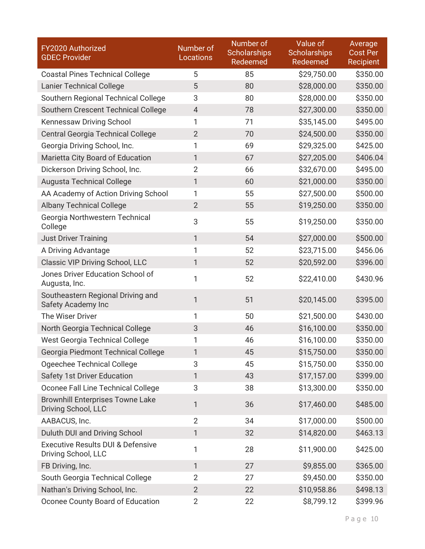| FY2020 Authorized<br><b>GDEC Provider</b>                           | Number of<br><b>Locations</b> | Number of<br><b>Scholarships</b><br>Redeemed | Value of<br><b>Scholarships</b><br>Redeemed | Average<br><b>Cost Per</b><br>Recipient |
|---------------------------------------------------------------------|-------------------------------|----------------------------------------------|---------------------------------------------|-----------------------------------------|
| <b>Coastal Pines Technical College</b>                              | 5                             | 85                                           | \$29,750.00                                 | \$350.00                                |
| <b>Lanier Technical College</b>                                     | 5                             | 80                                           | \$28,000.00                                 | \$350.00                                |
| Southern Regional Technical College                                 | 3                             | 80                                           | \$28,000.00                                 | \$350.00                                |
| Southern Crescent Technical College                                 | $\overline{4}$                | 78                                           | \$27,300.00                                 | \$350.00                                |
| Kennessaw Driving School                                            | 1                             | 71                                           | \$35,145.00                                 | \$495.00                                |
| <b>Central Georgia Technical College</b>                            | $\overline{2}$                | 70                                           | \$24,500.00                                 | \$350.00                                |
| Georgia Driving School, Inc.                                        | 1                             | 69                                           | \$29,325.00                                 | \$425.00                                |
| Marietta City Board of Education                                    | 1                             | 67                                           | \$27,205.00                                 | \$406.04                                |
| Dickerson Driving School, Inc.                                      | $\overline{2}$                | 66                                           | \$32,670.00                                 | \$495.00                                |
| <b>Augusta Technical College</b>                                    | 1                             | 60                                           | \$21,000.00                                 | \$350.00                                |
| AA Academy of Action Driving School                                 | 1                             | 55                                           | \$27,500.00                                 | \$500.00                                |
| <b>Albany Technical College</b>                                     | $\overline{2}$                | 55                                           | \$19,250.00                                 | \$350.00                                |
| Georgia Northwestern Technical<br>College                           | 3                             | 55                                           | \$19,250.00                                 | \$350.00                                |
| <b>Just Driver Training</b>                                         | $\mathbf{1}$                  | 54                                           | \$27,000.00                                 | \$500.00                                |
| A Driving Advantage                                                 | 1                             | 52                                           | \$23,715.00                                 | \$456.06                                |
| Classic VIP Driving School, LLC                                     | 1                             | 52                                           | \$20,592.00                                 | \$396.00                                |
| Jones Driver Education School of<br>Augusta, Inc.                   | 1                             | 52                                           | \$22,410.00                                 | \$430.96                                |
| Southeastern Regional Driving and<br>Safety Academy Inc             | 1                             | 51                                           | \$20,145.00                                 | \$395.00                                |
| The Wiser Driver                                                    | 1                             | 50                                           | \$21,500.00                                 | \$430.00                                |
| North Georgia Technical College                                     | 3                             | 46                                           | \$16,100.00                                 | \$350.00                                |
| West Georgia Technical College                                      | 1                             | 46                                           | \$16,100.00                                 | \$350.00                                |
| Georgia Piedmont Technical College                                  | 1                             | 45                                           | \$15,750.00                                 | \$350.00                                |
| Ogeechee Technical College                                          | 3                             | 45                                           | \$15,750.00                                 | \$350.00                                |
| <b>Safety 1st Driver Education</b>                                  | 1                             | 43                                           | \$17,157.00                                 | \$399.00                                |
| Oconee Fall Line Technical College                                  | 3                             | 38                                           | \$13,300.00                                 | \$350.00                                |
| <b>Brownhill Enterprises Towne Lake</b><br>Driving School, LLC      | 1                             | 36                                           | \$17,460.00                                 | \$485.00                                |
| AABACUS, Inc.                                                       | $\overline{2}$                | 34                                           | \$17,000.00                                 | \$500.00                                |
| Duluth DUI and Driving School                                       | 1                             | 32                                           | \$14,820.00                                 | \$463.13                                |
| <b>Executive Results DUI &amp; Defensive</b><br>Driving School, LLC | 1                             | 28                                           | \$11,900.00                                 | \$425.00                                |
| FB Driving, Inc.                                                    | 1                             | 27                                           | \$9,855.00                                  | \$365.00                                |
| South Georgia Technical College                                     | $\overline{2}$                | 27                                           | \$9,450.00                                  | \$350.00                                |
| Nathan's Driving School, Inc.                                       | $\overline{2}$                | 22                                           | \$10,958.86                                 | \$498.13                                |
| Oconee County Board of Education                                    | $\overline{2}$                | 22                                           | \$8,799.12                                  | \$399.96                                |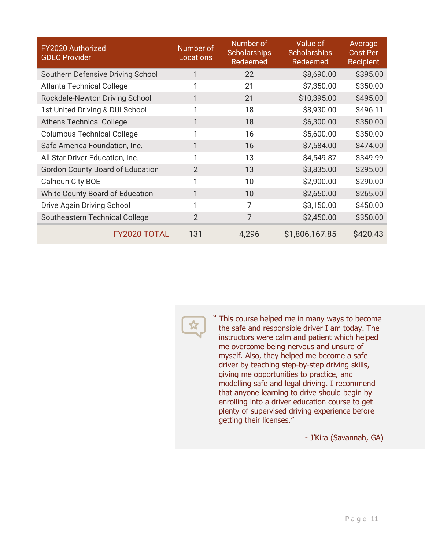| FY2020 Authorized<br><b>GDEC Provider</b> | Number of<br>Locations | Number of<br><b>Scholarships</b><br>Redeemed | Value of<br><b>Scholarships</b><br>Redeemed | Average<br><b>Cost Per</b><br>Recipient |
|-------------------------------------------|------------------------|----------------------------------------------|---------------------------------------------|-----------------------------------------|
| Southern Defensive Driving School         | 1                      | 22                                           | \$8,690.00                                  | \$395.00                                |
| <b>Atlanta Technical College</b>          | 1                      | 21                                           | \$7,350.00                                  | \$350.00                                |
| Rockdale-Newton Driving School            | 1                      | 21                                           | \$10,395.00                                 | \$495.00                                |
| 1st United Driving & DUI School           | 1                      | 18                                           | \$8,930.00                                  | \$496.11                                |
| <b>Athens Technical College</b>           | 1                      | 18                                           | \$6,300.00                                  | \$350.00                                |
| <b>Columbus Technical College</b>         | 1                      | 16                                           | \$5,600.00                                  | \$350.00                                |
| Safe America Foundation, Inc.             | 1                      | 16                                           | \$7,584.00                                  | \$474.00                                |
| All Star Driver Education, Inc.           | 1                      | 13                                           | \$4,549.87                                  | \$349.99                                |
| <b>Gordon County Board of Education</b>   | 2                      | 13                                           | \$3,835.00                                  | \$295.00                                |
| Calhoun City BOE                          | 1                      | 10                                           | \$2,900.00                                  | \$290.00                                |
| White County Board of Education           | 1                      | 10                                           | \$2,650.00                                  | \$265.00                                |
| Drive Again Driving School                | 1                      | 7                                            | \$3,150.00                                  | \$450.00                                |
| Southeastern Technical College            | $\overline{2}$         | 7                                            | \$2,450.00                                  | \$350.00                                |
| <b>FY2020 TOTAL</b>                       | 131                    | 4,296                                        | \$1,806,167.85                              | \$420.43                                |

<span id="page-13-0"></span>

" This course helped me in many ways to become the safe and responsible driver I am today. The instructors were calm and patient which helped me overcome being nervous and unsure of myself. Also, they helped me become a safe driver by teaching step-by-step driving skills, giving me opportunities to practice, and giving me opportunities to practice, and<br>modelling safe and legal driving. I recommend that anyone learning to drive should begin by enrolling into a driver education course to get plenty of supervised driving experience before getting their licenses."

- J'Kira (Savannah, GA)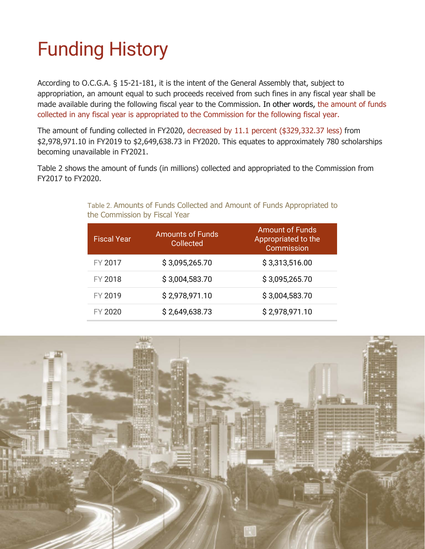## Funding History

According to O.C.G.A. § 15-21-181, it is the intent of the General Assembly that, subject to appropriation, an amount equal to such proceeds received from such fines in any fiscal year shall be made available during the following fiscal year to the Commission. In other words, the amount of funds collected in any fiscal year is appropriated to the Commission for the following fiscal year.

The amount of funding collected in FY2020, decreased by 11.1 percent (\$329,332.37 less) from \$2,978,971.10 in FY2019 to \$2,649,638.73 in FY2020. This equates to approximately 780 scholarships becoming unavailable in FY2021.

Table 2 shows the amount of funds (in millions) collected and appropriated to the Commission from FY2017 to FY2020.

| <b>Fiscal Year</b> | <b>Amounts of Funds</b><br>Collected | <b>Amount of Funds</b><br>Appropriated to the<br>Commission |
|--------------------|--------------------------------------|-------------------------------------------------------------|
| FY 2017            | \$3,095,265.70                       | \$3,313,516.00                                              |
| FY 2018            | \$3,004,583.70                       | \$3,095,265.70                                              |
| FY 2019            | \$2,978,971.10                       | \$3,004,583.70                                              |
| FY 2020            | \$2,649,638.73                       | \$2,978,971.10                                              |

Table 2. Amounts of Funds Collected and Amount of Funds Appropriated to the Commission by Fiscal Year